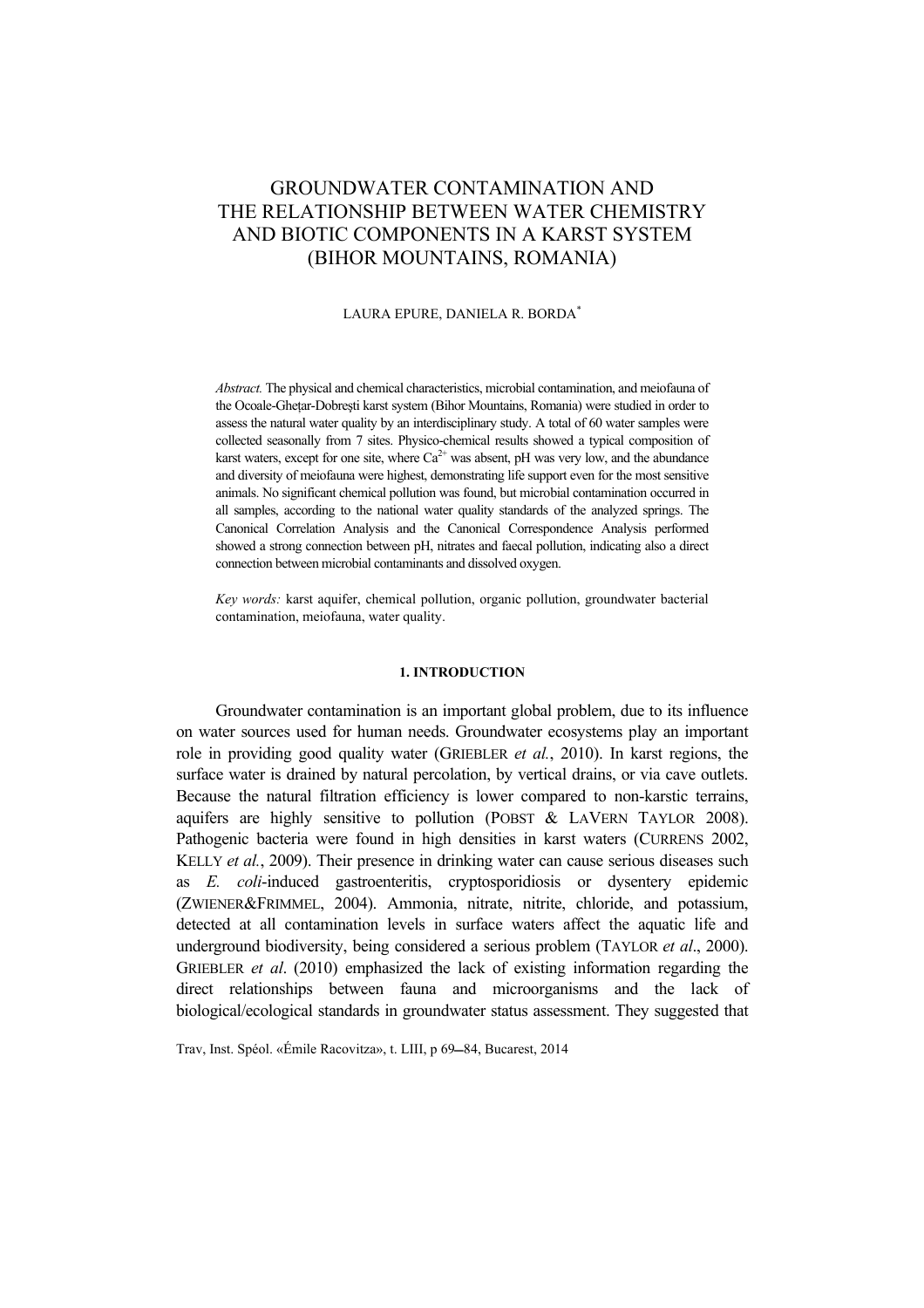# GROUNDWATER CONTAMINATION AND THE RELATIONSHIP BETWEEN WATER CHEMISTRY AND BIOTIC COMPONENTS IN A KARST SYSTEM (BIHOR MOUNTAINS, ROMANIA)

## LAURA EPURE, DANIELA R. BORDA\*

*Abstract.* The physical and chemical characteristics, microbial contamination, and meiofauna of the Ocoale-Ghetar-Dobresti karst system (Bihor Mountains, Romania) were studied in order to assess the natural water quality by an interdisciplinary study. A total of 60 water samples were collected seasonally from 7 sites. Physico-chemical results showed a typical composition of karst waters, except for one site, where  $Ca^{2+}$  was absent, pH was very low, and the abundance and diversity of meiofauna were highest, demonstrating life support even for the most sensitive animals. No significant chemical pollution was found, but microbial contamination occurred in all samples, according to the national water quality standards of the analyzed springs. The Canonical Correlation Analysis and the Canonical Correspondence Analysis performed showed a strong connection between pH, nitrates and faecal pollution, indicating also a direct connection between microbial contaminants and dissolved oxygen.

*Key words:* karst aquifer, chemical pollution, organic pollution, groundwater bacterial contamination, meiofauna, water quality.

## **1. INTRODUCTION**

Groundwater contamination is an important global problem, due to its influence on water sources used for human needs. Groundwater ecosystems play an important role in providing good quality water (GRIEBLER *et al.*, 2010). In karst regions, the surface water is drained by natural percolation, by vertical drains, or via cave outlets. Because the natural filtration efficiency is lower compared to non-karstic terrains, aquifers are highly sensitive to pollution (POBST & LAVERN TAYLOR 2008). Pathogenic bacteria were found in high densities in karst waters (CURRENS 2002, KELLY *et al.*, 2009). Their presence in drinking water can cause serious diseases such as *E. coli*-induced gastroenteritis, cryptosporidiosis or dysentery epidemic (ZWIENER&FRIMMEL, 2004). Ammonia, nitrate, nitrite, chloride, and potassium, detected at all contamination levels in surface waters affect the aquatic life and underground biodiversity, being considered a serious problem (TAYLOR *et al*., 2000). GRIEBLER *et al*. (2010) emphasized the lack of existing information regarding the direct relationships between fauna and microorganisms and the lack of biological/ecological standards in groundwater status assessment. They suggested that

Trav, Inst. Spéol. «Émile Racovitza», t. LIII, p 69-84, Bucarest, 2014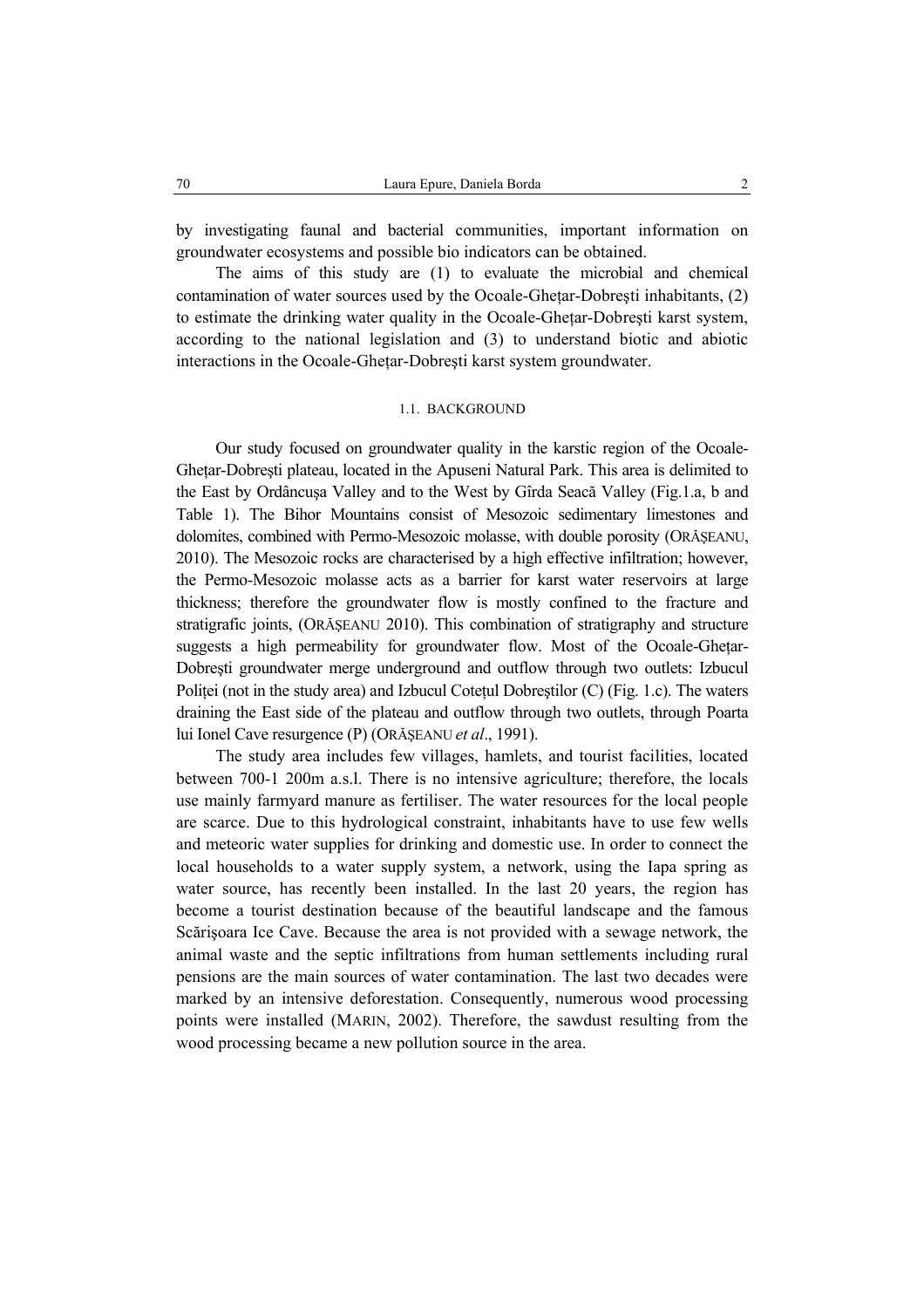by investigating faunal and bacterial communities, important information on groundwater ecosystems and possible bio indicators can be obtained.

The aims of this study are (1) to evaluate the microbial and chemical contamination of water sources used by the Ocoale-Ghetar-Dobresti inhabitants, (2) to estimate the drinking water quality in the Ocoale-Ghetar-Dobresti karst system, according to the national legislation and (3) to understand biotic and abiotic interactions in the Ocoale-Gheţar-Dobreşti karst system groundwater.

#### 1.1. BACKGROUND

Our study focused on groundwater quality in the karstic region of the Ocoale-Ghetar-Dobresti plateau, located in the Apuseni Natural Park. This area is delimited to the East by Ordâncuşa Valley and to the West by Gîrda Seacă Valley (Fig.1.a, b and Table 1). The Bihor Mountains consist of Mesozoic sedimentary limestones and dolomites, combined with Permo-Mesozoic molasse, with double porosity (ORĂSEANU, 2010). The Mesozoic rocks are characterised by a high effective infiltration; however, the Permo-Mesozoic molasse acts as a barrier for karst water reservoirs at large thickness; therefore the groundwater flow is mostly confined to the fracture and stratigrafic joints, (ORĂŞEANU 2010). This combination of stratigraphy and structure suggests a high permeability for groundwater flow. Most of the Ocoale-Ghetar-Dobreşti groundwater merge underground and outflow through two outlets: Izbucul Politei (not in the study area) and Izbucul Cotețul Dobreștilor (C) (Fig. 1.c). The waters draining the East side of the plateau and outflow through two outlets, through Poarta lui Ionel Cave resurgence (P) (ORĂŞEANU *et al*., 1991).

The study area includes few villages, hamlets, and tourist facilities, located between 700-1 200m a.s.l. There is no intensive agriculture; therefore, the locals use mainly farmyard manure as fertiliser. The water resources for the local people are scarce. Due to this hydrological constraint, inhabitants have to use few wells and meteoric water supplies for drinking and domestic use. In order to connect the local households to a water supply system, a network, using the Iapa spring as water source, has recently been installed. In the last 20 years, the region has become a tourist destination because of the beautiful landscape and the famous Scărişoara Ice Cave. Because the area is not provided with a sewage network, the animal waste and the septic infiltrations from human settlements including rural pensions are the main sources of water contamination. The last two decades were marked by an intensive deforestation. Consequently, numerous wood processing points were installed (MARIN, 2002). Therefore, the sawdust resulting from the wood processing became a new pollution source in the area.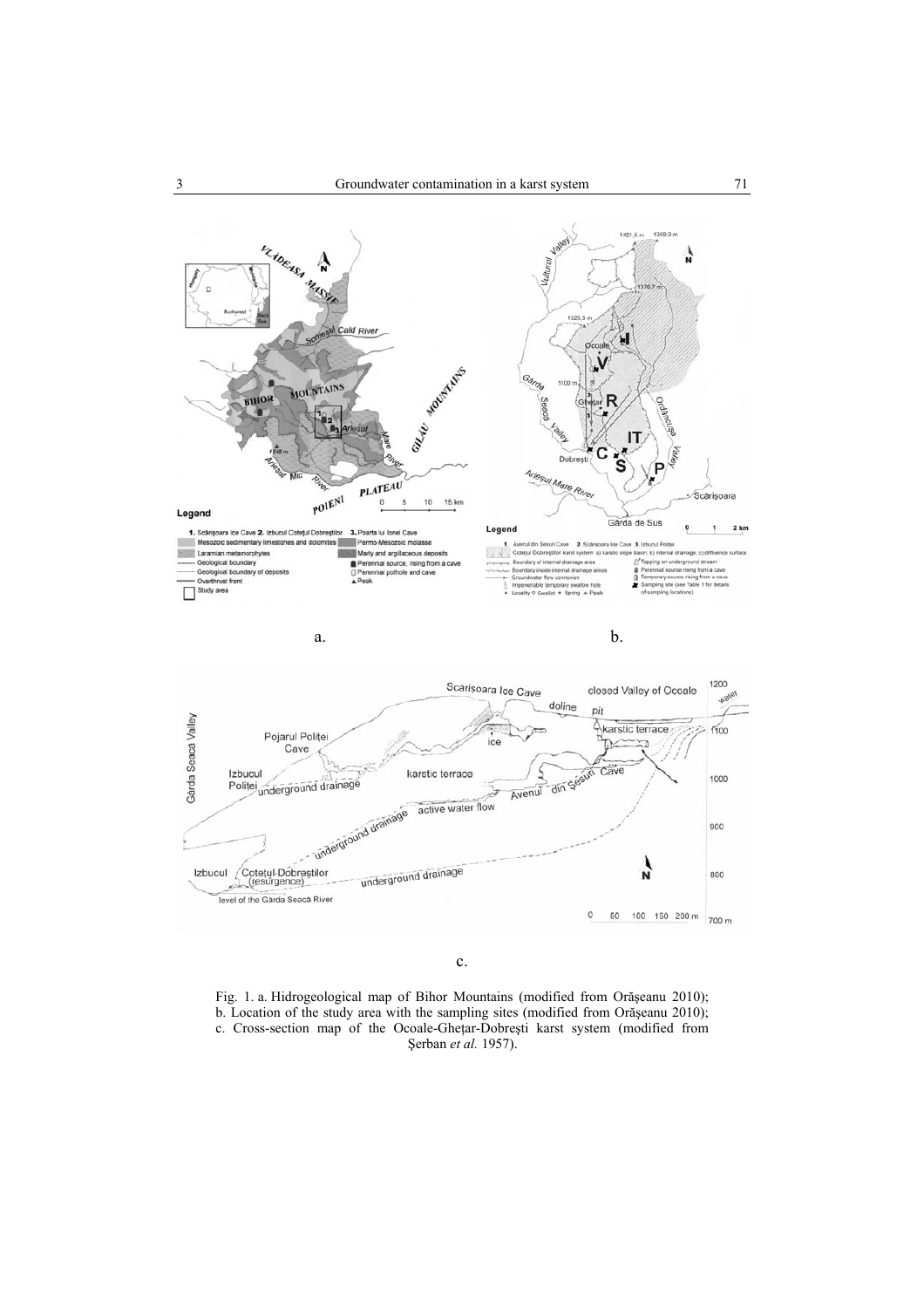

c.

Fig. 1. a. Hidrogeological map of Bihor Mountains (modified from Orăşeanu 2010); b. Location of the study area with the sampling sites (modified from Orăşeanu 2010); c. Cross-section map of the Ocoale-Gheţar-Dobreşti karst system (modified from Şerban *et al.* 1957).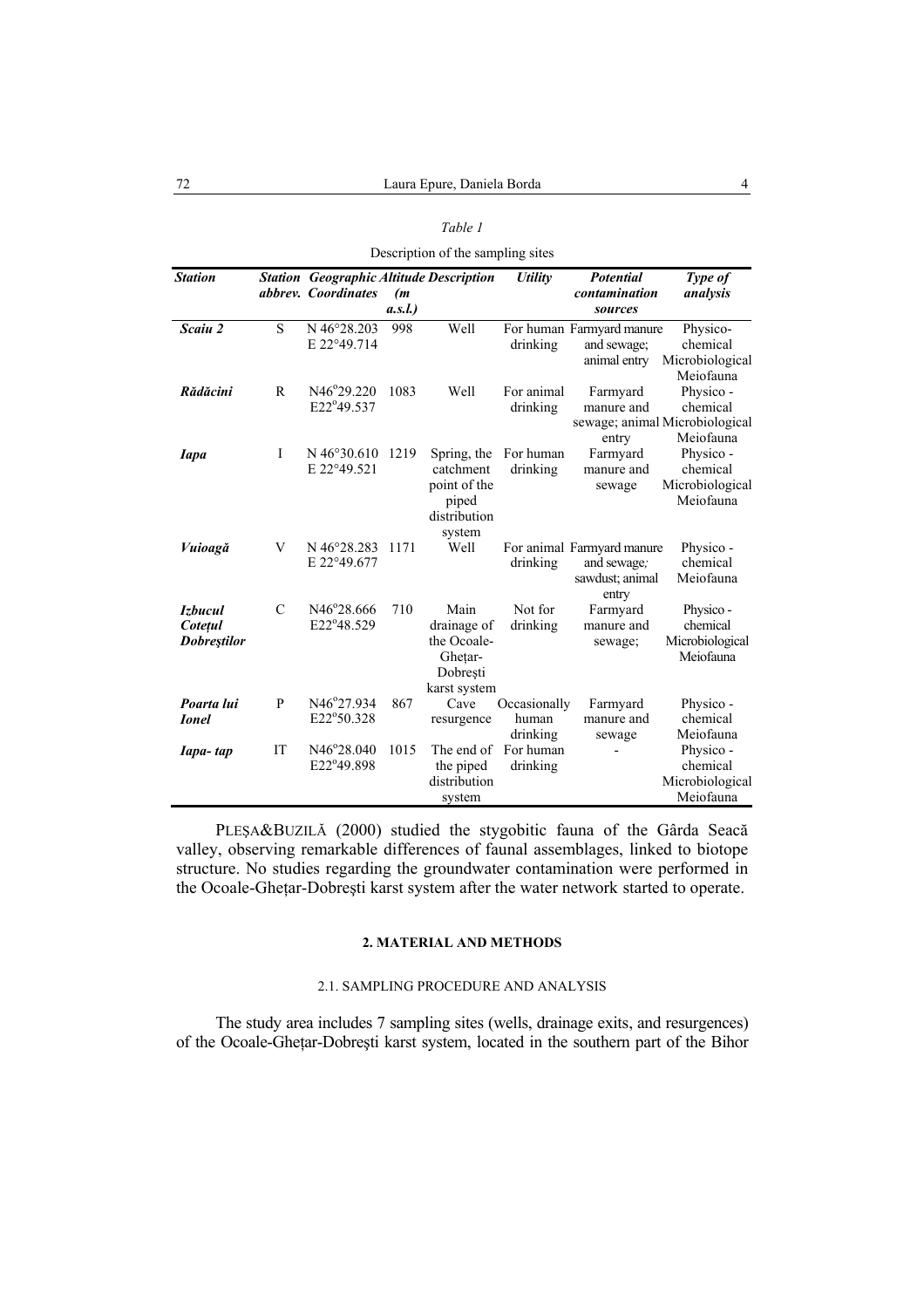|                                                 |               |                                                                              |              | Table 1                                                                     |                                   |                                                                       |                                                                      |  |  |  |  |  |  |
|-------------------------------------------------|---------------|------------------------------------------------------------------------------|--------------|-----------------------------------------------------------------------------|-----------------------------------|-----------------------------------------------------------------------|----------------------------------------------------------------------|--|--|--|--|--|--|
| Description of the sampling sites               |               |                                                                              |              |                                                                             |                                   |                                                                       |                                                                      |  |  |  |  |  |  |
| <b>Station</b>                                  |               | <b>Station</b> Geographic Altitude Description<br><i>abbrey. Coordinates</i> | (m<br>a.s.l. |                                                                             | <b>Utility</b>                    | Potential<br>contamination<br>sources                                 | Type of<br>analysis                                                  |  |  |  |  |  |  |
| Scaiu 2                                         | $\mathbf S$   | N 46°28.203<br>E 22°49.714                                                   | 998          | Well                                                                        | drinking                          | For human Farmyard manure<br>and sewage:<br>animal entry              | Physico-<br>chemical<br>Microbiological<br>Meiofauna                 |  |  |  |  |  |  |
| Rădăcini                                        | R             | N46°29.220<br>E22°49.537                                                     | 1083         | Well                                                                        | For animal<br>drinking            | Farmyard<br>manure and<br>entry                                       | Physico -<br>chemical<br>sewage; animal Microbiological<br>Meiofauna |  |  |  |  |  |  |
| <b>Iapa</b>                                     | I             | $N$ 46 $\degree$ 30.610<br>E 22°49.521                                       | 1219         | Spring, the<br>catchment<br>point of the<br>piped<br>distribution<br>system | For human<br>drinking             | Farmyard<br>manure and<br>sewage                                      | Physico -<br>chemical<br>Microbiological<br>Meiofauna                |  |  |  |  |  |  |
| Vuioagă                                         | V             | N 46°28.283<br>E 22°49.677                                                   | 1171         | Well                                                                        | drinking                          | For animal Farmyard manure<br>and sewage;<br>sawdust; animal<br>entry | Physico -<br>chemical<br>Meiofauna                                   |  |  |  |  |  |  |
| <i>Izbucul</i><br>Cotețul<br><b>Dobrestilor</b> | $\mathcal{C}$ | N46°28.666<br>E22°48.529                                                     | 710          | Main<br>drainage of<br>the Ocoale-<br>Ghețar-<br>Dobrești<br>karst system   | Not for<br>drinking               | Farmyard<br>manure and<br>sewage;                                     | Physico -<br>chemical<br>Microbiological<br>Meiofauna                |  |  |  |  |  |  |
| Poarta lui<br><b>Ionel</b>                      | P             | N46°27.934<br>E22°50.328                                                     | 867          | Cave<br>resurgence                                                          | Occasionally<br>human<br>drinking | Farmyard<br>manure and<br>sewage                                      | Physico -<br>chemical<br>Meiofauna                                   |  |  |  |  |  |  |
| Iapa-tap                                        | IT            | N46°28.040<br>E22°49.898                                                     | 1015         | The end of<br>the piped<br>distribution<br>system                           | For human<br>drinking             |                                                                       | Physico -<br>chemical<br>Microbiological<br>Meiofauna                |  |  |  |  |  |  |

PLEŞA&BUZILĂ (2000) studied the stygobitic fauna of the Gârda Seacă valley, observing remarkable differences of faunal assemblages, linked to biotope structure. No studies regarding the groundwater contamination were performed in the Ocoale-Gheţar-Dobreşti karst system after the water network started to operate.

## **2. MATERIAL AND METHODS**

## 2.1. SAMPLING PROCEDURE AND ANALYSIS

The study area includes 7 sampling sites (wells, drainage exits, and resurgences) of the Ocoale-Gheţar-Dobreşti karst system, located in the southern part of the Bihor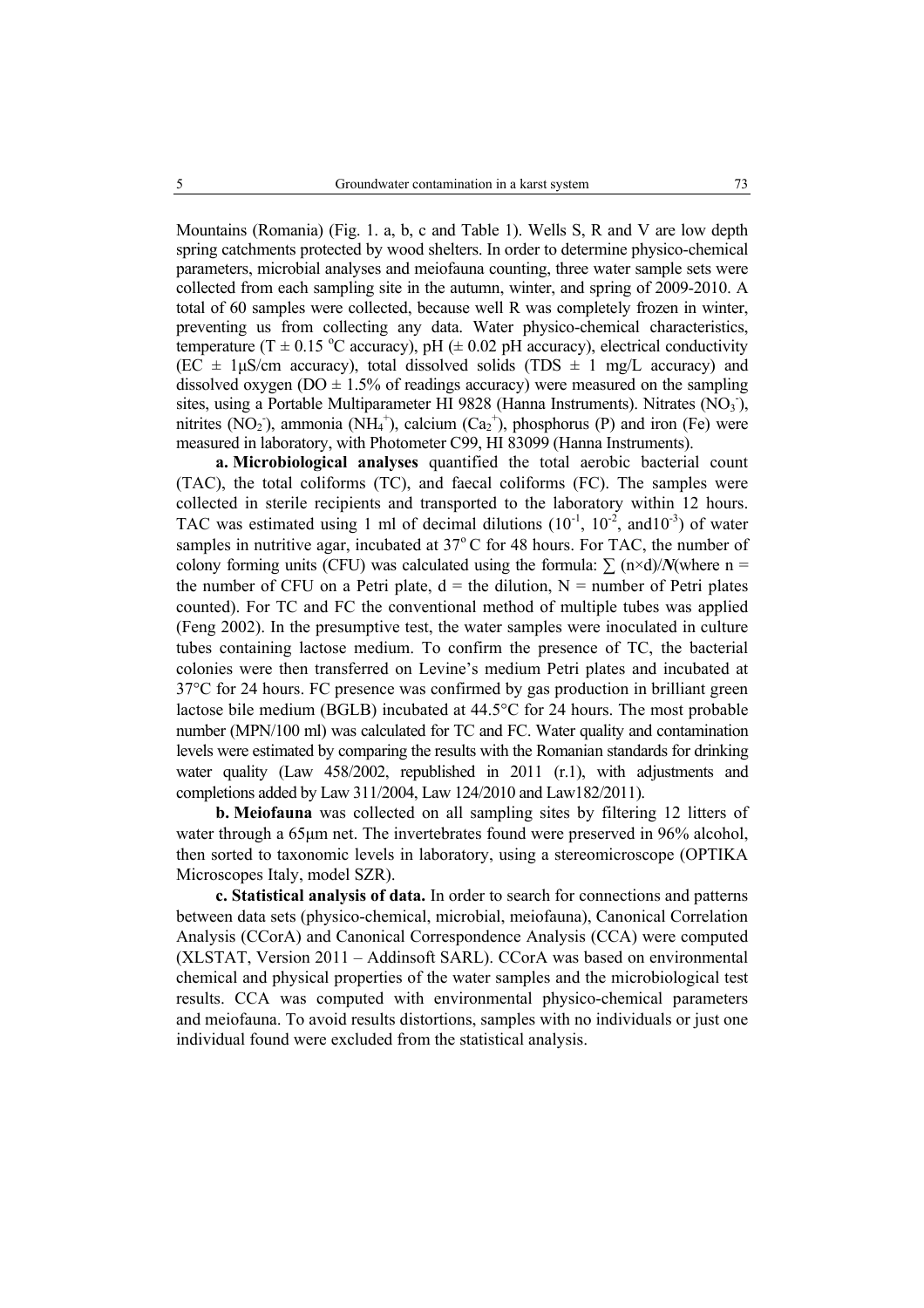Mountains (Romania) (Fig. 1. a, b, c and Table 1). Wells S, R and V are low depth spring catchments protected by wood shelters. In order to determine physico-chemical parameters, microbial analyses and meiofauna counting, three water sample sets were collected from each sampling site in the autumn, winter, and spring of 2009-2010. A total of 60 samples were collected, because well R was completely frozen in winter, preventing us from collecting any data. Water physico-chemical characteristics, temperature (T  $\pm$  0.15 °C accuracy), pH ( $\pm$  0.02 pH accuracy), electrical conductivity  $(EC \pm 1\mu S/cm$  accuracy), total dissolved solids  $(TDS \pm 1$  mg/L accuracy) and dissolved oxygen ( $DO \pm 1.5\%$  of readings accuracy) were measured on the sampling sites, using a Portable Multiparameter HI 9828 (Hanna Instruments). Nitrates  $(\overline{NO_3})$ , nitrites (NO<sub>2</sub>), ammonia (NH<sub>4</sub><sup>+</sup>), calcium (Ca<sub>2</sub><sup>+</sup>), phosphorus (P) and iron (Fe) were measured in laboratory, with Photometer C99, HI 83099 (Hanna Instruments).

**a. Microbiological analyses** quantified the total aerobic bacterial count (TAC), the total coliforms (TC), and faecal coliforms (FC). The samples were collected in sterile recipients and transported to the laboratory within 12 hours. TAC was estimated using 1 ml of decimal dilutions  $(10^{-1}, 10^{-2}, \text{ and } 10^{-3})$  of water samples in nutritive agar, incubated at  $37^{\circ}$ C for 48 hours. For TAC, the number of colony forming units (CFU) was calculated using the formula:  $\sum$  (n×d)/*N*(where n = the number of CFU on a Petri plate,  $d =$  the dilution,  $N =$  number of Petri plates counted). For TC and FC the conventional method of multiple tubes was applied (Feng 2002). In the presumptive test, the water samples were inoculated in culture tubes containing lactose medium. To confirm the presence of TC, the bacterial colonies were then transferred on Levine's medium Petri plates and incubated at 37°C for 24 hours. FC presence was confirmed by gas production in brilliant green lactose bile medium (BGLB) incubated at 44.5°C for 24 hours. The most probable number (MPN/100 ml) was calculated for TC and FC. Water quality and contamination levels were estimated by comparing the results with the Romanian standards for drinking water quality (Law 458/2002, republished in 2011 (r.1), with adjustments and completions added by Law 311/2004, Law 124/2010 and Law182/2011).

**b. Meiofauna** was collected on all sampling sites by filtering 12 litters of water through a 65µm net. The invertebrates found were preserved in 96% alcohol, then sorted to taxonomic levels in laboratory, using a stereomicroscope (OPTIKA Microscopes Italy, model SZR).

**c. Statistical analysis of data.** In order to search for connections and patterns between data sets (physico-chemical, microbial, meiofauna), Canonical Correlation Analysis (CCorA) and Canonical Correspondence Analysis (CCA) were computed (XLSTAT, Version 2011 – Addinsoft SARL). CCorA was based on environmental chemical and physical properties of the water samples and the microbiological test results. CCA was computed with environmental physico-chemical parameters and meiofauna. To avoid results distortions, samples with no individuals or just one individual found were excluded from the statistical analysis.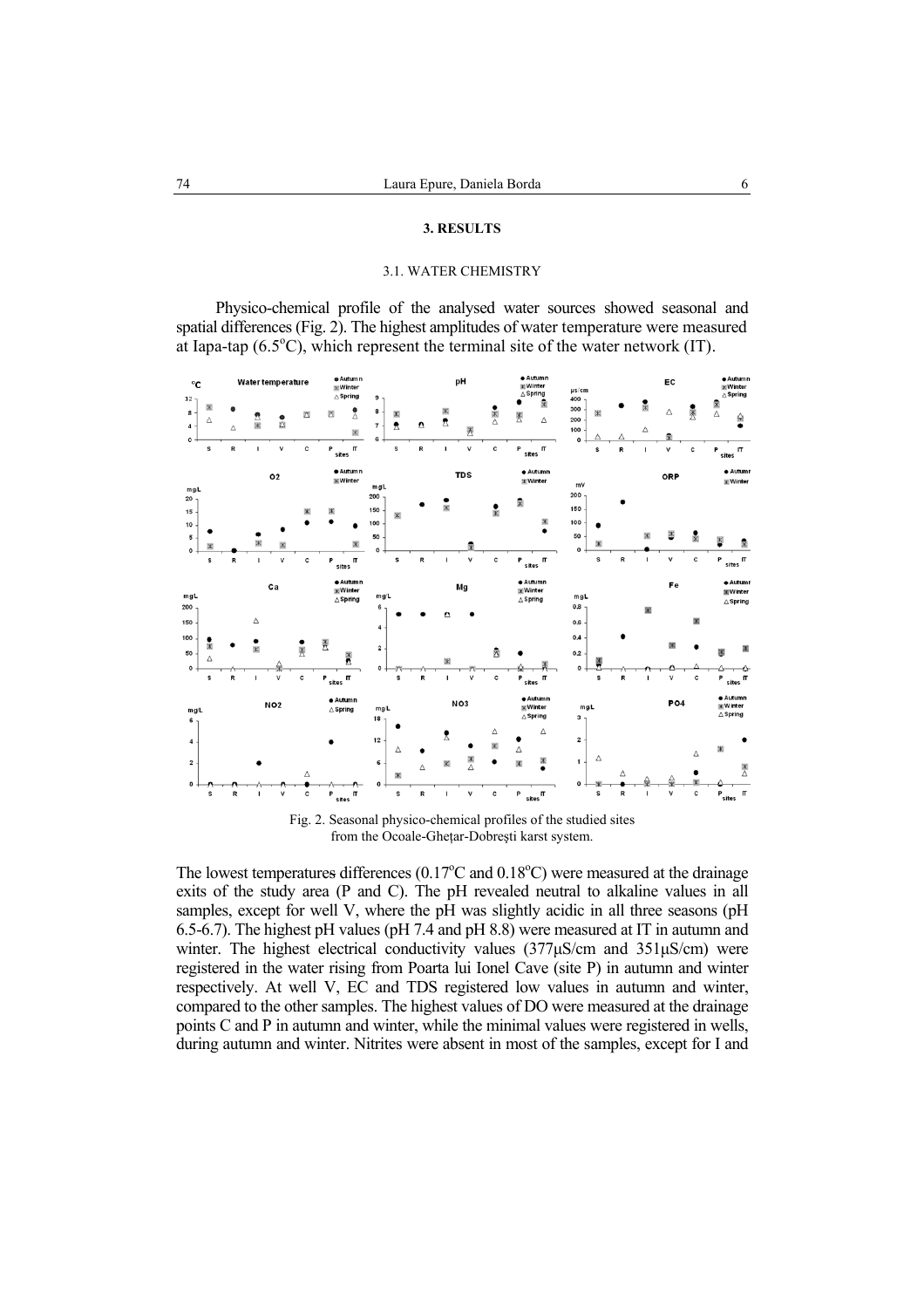## **3. RESULTS**

## 3.1. WATER CHEMISTRY

Physico-chemical profile of the analysed water sources showed seasonal and spatial differences (Fig. 2). The highest amplitudes of water temperature were measured at Iapa-tap  $(6.5^{\circ}C)$ , which represent the terminal site of the water network (IT).

| °C<br>$12 -$            |             |   |              | Water temperature |                   | <b>e Autumn</b><br><b>WW</b> inter<br>$\triangle$ Spring | 9                                     |        |                |                          | pH              |                                                          | · Autumn<br><b>K</b> Winter<br>$\triangle$ Spring<br>¥.       | $\mu$ s/cm<br>400         |   |         | EC         |    | · Autumn<br><b>X</b> Winter<br>$\triangle$ Spring            |
|-------------------------|-------------|---|--------------|-------------------|-------------------|----------------------------------------------------------|---------------------------------------|--------|----------------|--------------------------|-----------------|----------------------------------------------------------|---------------------------------------------------------------|---------------------------|---|---------|------------|----|--------------------------------------------------------------|
| 8<br>4<br>$\circ$       | Ж<br>Δ      | Δ | Σ<br>Ж       | 囚                 | X                 | ً<br>×<br>Ж                                              | 8<br>$\overline{7}$                   | Ж<br>公 | $\pmb{\Omega}$ | Ж<br>$\pmb{\mathcal{D}}$ | 类               | $\overline{\mathbb{X}}$<br>Δ                             | ₫<br>Δ                                                        | 300<br>200<br>100<br>o    | Ж | Δ       | Ж<br>Δ     | 奥  | 粛<br>Δ<br>₹                                                  |
|                         | S           | R | -            | V                 | c                 | P<br>П<br>sites                                          |                                       | S      | R              | ٠                        | ٧               | c                                                        | P<br>П<br>sites                                               |                           | s | R<br>J. | ٧          | c  | P<br>IT<br>sites                                             |
| mgL<br>20               |             |   |              | O <sub>2</sub>    |                   | $\bullet$ Autumn<br><b>XWinter</b>                       | mgL<br>200                            |        |                |                          | <b>TDS</b>      |                                                          | · Autumn<br><b>X</b> Winter                                   | mV<br>$200 -$             |   |         | ORP        |    | · Autumn<br><b>x</b> Winter                                  |
| 15<br>10                |             |   |              |                   |                   |                                                          | 150<br>100                            | Ж      |                |                          |                 |                                                          | Ж                                                             | 150<br>100                |   |         |            |    |                                                              |
| 5<br>$\mathbf{o}$       |             |   |              | Ж                 |                   | Ж                                                        | 50<br>Ō                               |        |                |                          |                 |                                                          |                                                               | 50<br>0                   | Ж |         | X<br>Ж     | Ñ. | X<br>冡                                                       |
|                         | s           | R | $\mathbf{I}$ | v                 | c                 | П<br>Ρ<br>sites                                          |                                       | s      | R              |                          | v               | c                                                        | P<br>П<br>sites                                               |                           | s | R       | v          | c  | П<br>P<br>sites                                              |
| mgL<br>200              |             |   | Δ            | Ca                |                   | · Autumn<br><b>X</b> Winter<br>$\triangle$ Spring        | mgL<br>6                              |        |                |                          | Mg              |                                                          | · Autumn<br><b>X</b> Winter<br>$\triangle$ Spring             | mgL<br>0.8                |   |         | Fe<br>Ж    | Ж  | $\triangle$ Autumn<br><b>IX Winter</b><br>$\triangle$ Spring |
| 150<br>100<br>50<br>0   | Ж<br>Δ<br>S | R |              | v                 | Ä<br>C            | X<br>X<br>$P_{\text{sites}}$ $\Pi$                       | 4<br>$\overline{\mathbf{2}}$<br>$0 -$ | s      | R              | Ж<br>٠                   | v               | Ñ<br>c                                                   | π<br>$P$ sites                                                | 0.6<br>0.4<br>0.2<br>٥    | S | R       | v<br>ı     | c  | $\overline{\phantom{a}}$ sites $\overline{\phantom{a}}$<br>Ρ |
| mgL<br>6                |             |   |              | NO <sub>2</sub>   |                   | · Autumn<br>$\triangle$ Spring                           | mgL<br>18                             |        |                |                          | NO <sub>3</sub> |                                                          | $\bullet$ Autumn<br>$\mathbb{K}$ Winter<br>$\triangle$ Spring | mgL<br>3                  |   |         | <b>PO4</b> |    | · Autumn<br>* Winter<br>$\triangle$ Spring                   |
| $\overline{\mathbf{4}}$ |             |   |              |                   |                   |                                                          | $12 -$                                | Δ      |                | ₹                        |                 | Δ                                                        | Δ<br>Δ                                                        | 2                         |   |         |            | Δ  | Ж                                                            |
| $\overline{\mathbf{2}}$ |             |   |              |                   | Δ                 |                                                          | 6                                     | Ж      | Δ              | Ж                        | $\frac{1}{2}$   |                                                          | Ж                                                             | $\mathbf{1}$              | Δ |         |            |    | ≫<br>∧                                                       |
| 0                       | s           | R | $\mathbf{I}$ | ٧                 | c<br>$\mathbf{r}$ | P<br>π<br>sites                                          | о                                     | s      | R              |                          | ٧               | C<br>$\mathbf{r} = \mathbf{r}$ $\mathbf{r} = \mathbf{r}$ | Ρ<br>$s$ ites $^{\sf \Pi}$                                    | $0 +$<br>$0.4 \times 1.1$ | s | R       | V          | c  | π<br>P<br>sites                                              |

Fig. 2. Seasonal physico-chemical profiles of the studied sites from the Ocoale-Gheţar-Dobreşti karst system.

The lowest temperatures differences  $(0.17^{\circ}$ C and  $0.18^{\circ}$ C) were measured at the drainage exits of the study area (P and C). The pH revealed neutral to alkaline values in all samples, except for well V, where the  $p\hat{H}$  was slightly acidic in all three seasons ( $pH$ 6.5-6.7). The highest pH values (pH 7.4 and pH 8.8) were measured at IT in autumn and winter. The highest electrical conductivity values (377µS/cm and 351µS/cm) were registered in the water rising from Poarta lui Ionel Cave (site P) in autumn and winter respectively. At well V, EC and TDS registered low values in autumn and winter, compared to the other samples. The highest values of DO were measured at the drainage points C and P in autumn and winter, while the minimal values were registered in wells, during autumn and winter. Nitrites were absent in most of the samples, except for I and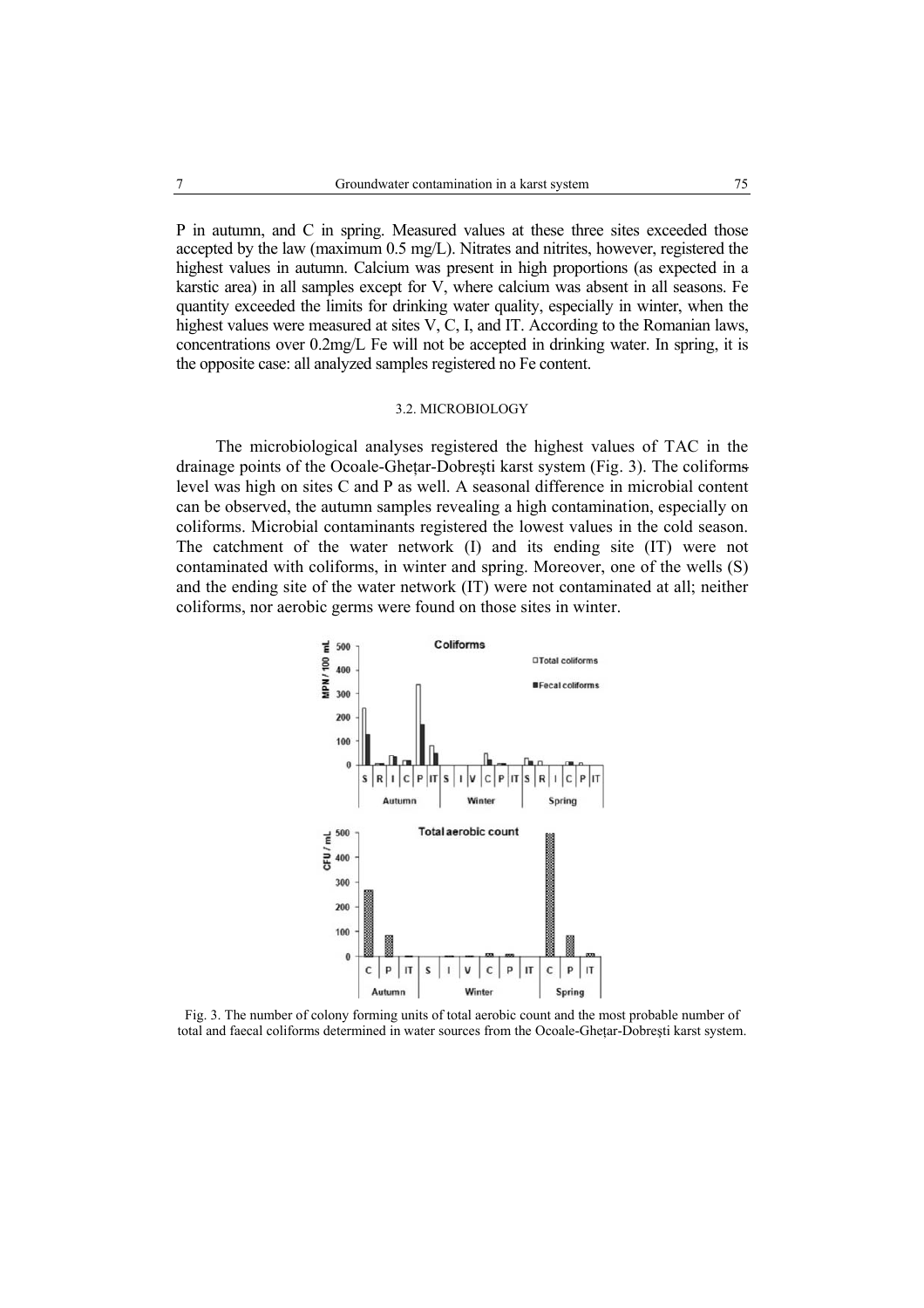P in autumn, and C in spring. Measured values at these three sites exceeded those accepted by the law (maximum 0.5 mg/L). Nitrates and nitrites, however, registered the highest values in autumn. Calcium was present in high proportions (as expected in a karstic area) in all samples except for V, where calcium was absent in all seasons. Fe quantity exceeded the limits for drinking water quality, especially in winter, when the highest values were measured at sites V, C, I, and IT. According to the Romanian laws, concentrations over 0.2mg/L Fe will not be accepted in drinking water. In spring, it is the opposite case: all analyzed samples registered no Fe content.

#### 3.2. MICROBIOLOGY

The microbiological analyses registered the highest values of TAC in the drainage points of the Ocoale-Gheţar-Dobreşti karst system (Fig. 3). The coliforms level was high on sites C and P as well. A seasonal difference in microbial content can be observed, the autumn samples revealing a high contamination, especially on coliforms. Microbial contaminants registered the lowest values in the cold season. The catchment of the water network (I) and its ending site (IT) were not contaminated with coliforms, in winter and spring. Moreover, one of the wells (S) and the ending site of the water network (IT) were not contaminated at all; neither coliforms, nor aerobic germs were found on those sites in winter.



Fig. 3. The number of colony forming units of total aerobic count and the most probable number of total and faecal coliforms determined in water sources from the Ocoale-Ghetar-Dobresti karst system.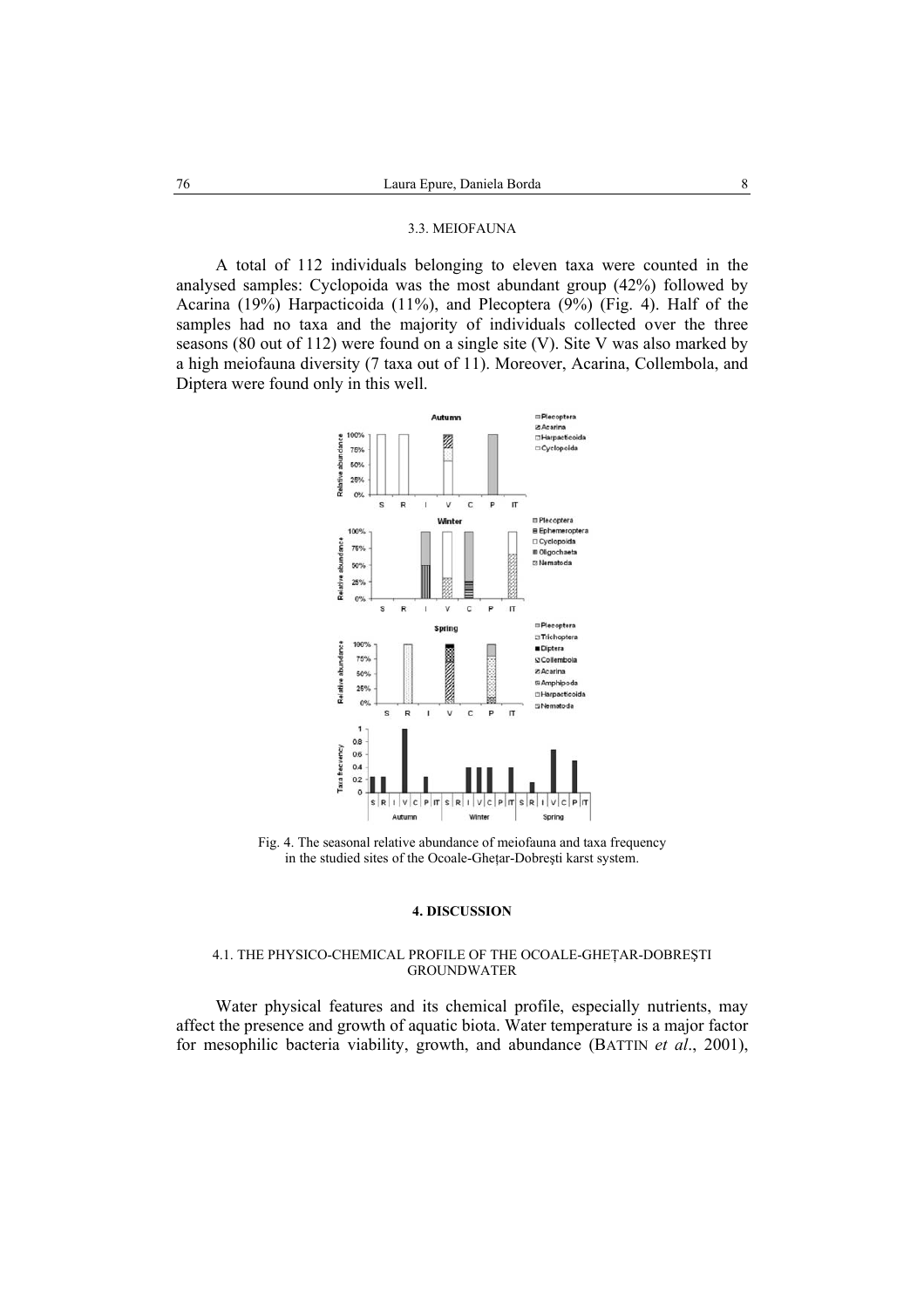#### 3.3. MEIOFAUNA

A total of 112 individuals belonging to eleven taxa were counted in the analysed samples: Cyclopoida was the most abundant group (42%) followed by Acarina (19%) Harpacticoida (11%), and Plecoptera (9%) (Fig. 4). Half of the samples had no taxa and the majority of individuals collected over the three seasons (80 out of 112) were found on a single site (V). Site V was also marked by a high meiofauna diversity (7 taxa out of 11). Moreover, Acarina, Collembola, and Diptera were found only in this well.



Fig. 4. The seasonal relative abundance of meiofauna and taxa frequency in the studied sites of the Ocoale-Gheţar-Dobreşti karst system.

#### **4. DISCUSSION**

## 4.1. THE PHYSICO-CHEMICAL PROFILE OF THE OCOALE-GHEŢAR-DOBREŞTI GROUNDWATER

Water physical features and its chemical profile, especially nutrients, may affect the presence and growth of aquatic biota. Water temperature is a major factor for mesophilic bacteria viability, growth, and abundance (BATTIN *et al*., 2001),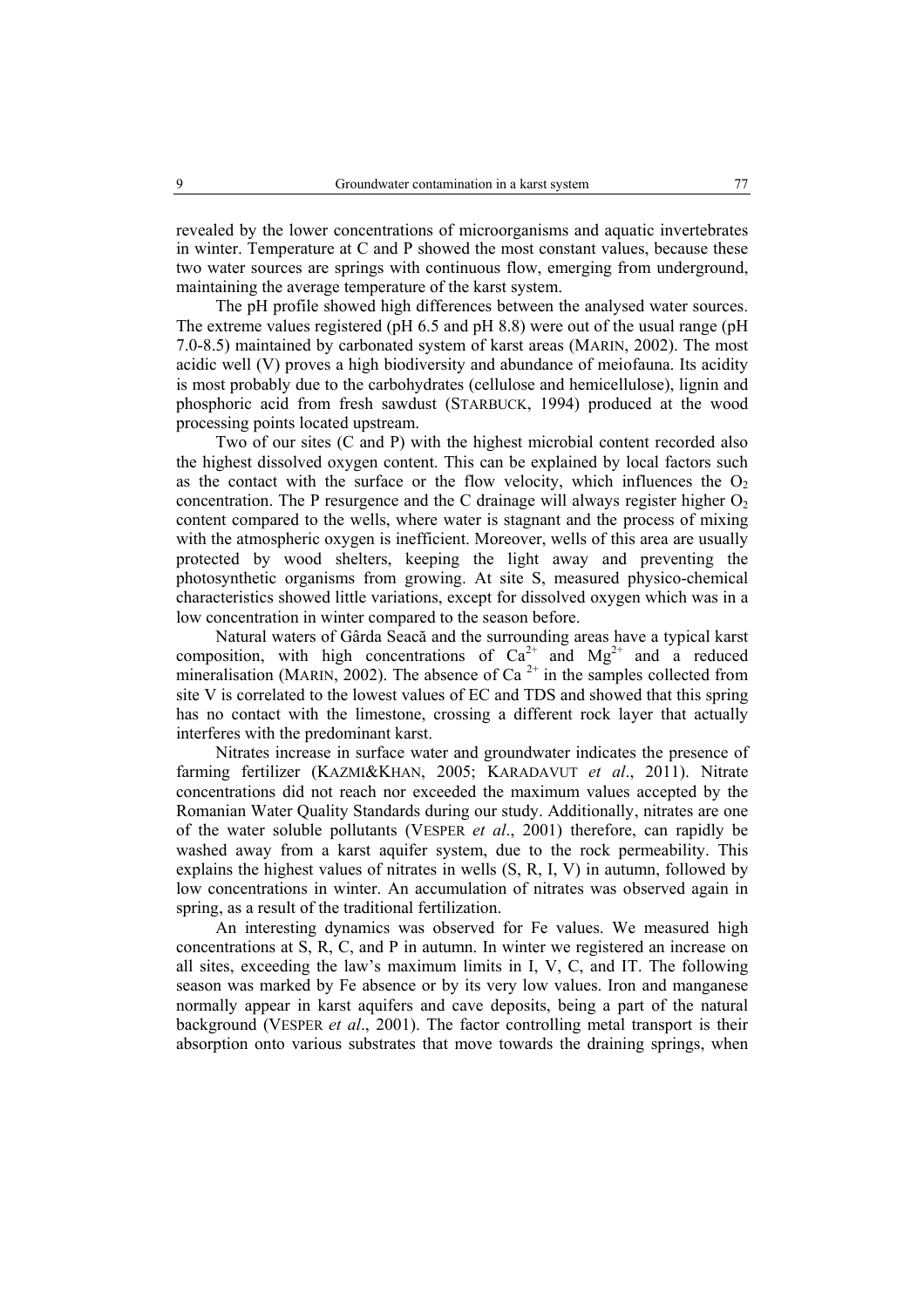revealed by the lower concentrations of microorganisms and aquatic invertebrates in winter. Temperature at C and P showed the most constant values, because these two water sources are springs with continuous flow, emerging from underground, maintaining the average temperature of the karst system.

The pH profile showed high differences between the analysed water sources. The extreme values registered (pH 6.5 and pH 8.8) were out of the usual range (pH 7.0-8.5) maintained by carbonated system of karst areas (MARIN, 2002). The most acidic well (V) proves a high biodiversity and abundance of meiofauna. Its acidity is most probably due to the carbohydrates (cellulose and hemicellulose), lignin and phosphoric acid from fresh sawdust (STARBUCK, 1994) produced at the wood processing points located upstream.

Two of our sites (C and P) with the highest microbial content recorded also the highest dissolved oxygen content. This can be explained by local factors such as the contact with the surface or the flow velocity, which influences the  $O<sub>2</sub>$ concentration. The P resurgence and the C drainage will always register higher  $O<sub>2</sub>$ content compared to the wells, where water is stagnant and the process of mixing with the atmospheric oxygen is inefficient. Moreover, wells of this area are usually protected by wood shelters, keeping the light away and preventing the photosynthetic organisms from growing. At site S, measured physico-chemical characteristics showed little variations, except for dissolved oxygen which was in a low concentration in winter compared to the season before.

Natural waters of Gârda Seacă and the surrounding areas have a typical karst composition, with high concentrations of  $Ca^{2+}$  and  $Mg^{2+}$  and a reduced mineralisation (MARIN, 2002). The absence of Ca<sup>2+</sup> in the samples collected from site V is correlated to the lowest values of EC and TDS and showed that this spring has no contact with the limestone, crossing a different rock layer that actually interferes with the predominant karst.

Nitrates increase in surface water and groundwater indicates the presence of farming fertilizer (KAZMI&KHAN, 2005; KARADAVUT *et al*., 2011). Nitrate concentrations did not reach nor exceeded the maximum values accepted by the Romanian Water Quality Standards during our study. Additionally, nitrates are one of the water soluble pollutants (VESPER *et al*., 2001) therefore, can rapidly be washed away from a karst aquifer system, due to the rock permeability. This explains the highest values of nitrates in wells (S, R, I, V) in autumn, followed by low concentrations in winter. An accumulation of nitrates was observed again in spring, as a result of the traditional fertilization.

An interesting dynamics was observed for Fe values. We measured high concentrations at S, R, C, and P in autumn. In winter we registered an increase on all sites, exceeding the law's maximum limits in I, V, C, and IT. The following season was marked by Fe absence or by its very low values. Iron and manganese normally appear in karst aquifers and cave deposits, being a part of the natural background (VESPER *et al*., 2001). The factor controlling metal transport is their absorption onto various substrates that move towards the draining springs, when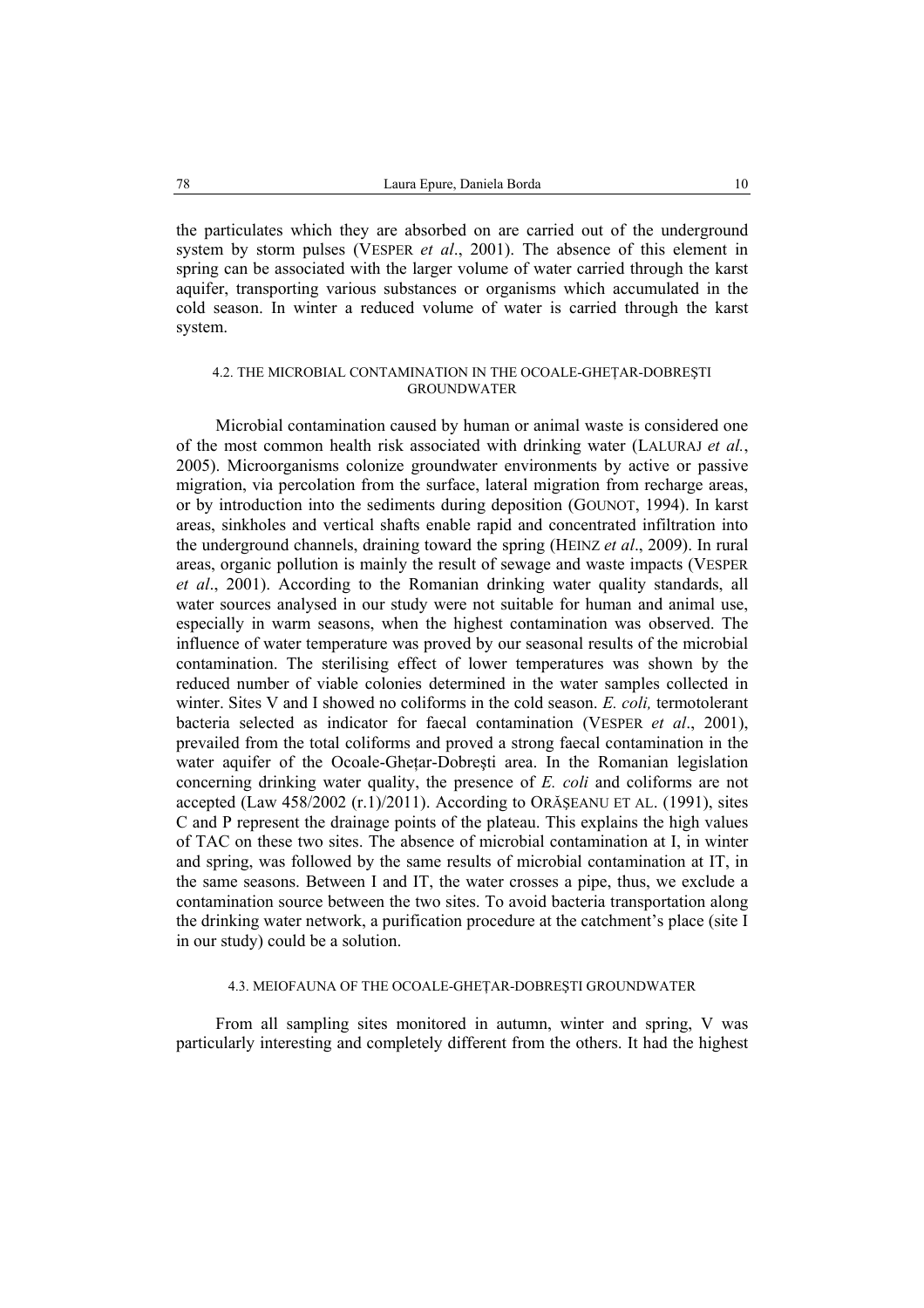the particulates which they are absorbed on are carried out of the underground system by storm pulses (VESPER *et al*., 2001). The absence of this element in spring can be associated with the larger volume of water carried through the karst aquifer, transporting various substances or organisms which accumulated in the cold season. In winter a reduced volume of water is carried through the karst system.

### 4.2. THE MICROBIAL CONTAMINATION IN THE OCOALE-GHEŢAR-DOBREŞTI GROUNDWATER

Microbial contamination caused by human or animal waste is considered one of the most common health risk associated with drinking water (LALURAJ *et al.*, 2005). Microorganisms colonize groundwater environments by active or passive migration, via percolation from the surface, lateral migration from recharge areas, or by introduction into the sediments during deposition (GOUNOT, 1994). In karst areas, sinkholes and vertical shafts enable rapid and concentrated infiltration into the underground channels, draining toward the spring (HEINZ *et al*., 2009). In rural areas, organic pollution is mainly the result of sewage and waste impacts (VESPER *et al*., 2001). According to the Romanian drinking water quality standards, all water sources analysed in our study were not suitable for human and animal use, especially in warm seasons, when the highest contamination was observed. The influence of water temperature was proved by our seasonal results of the microbial contamination. The sterilising effect of lower temperatures was shown by the reduced number of viable colonies determined in the water samples collected in winter. Sites V and I showed no coliforms in the cold season. *E. coli,* termotolerant bacteria selected as indicator for faecal contamination (VESPER *et al*., 2001), prevailed from the total coliforms and proved a strong faecal contamination in the water aquifer of the Ocoale-Ghetar-Dobresti area. In the Romanian legislation concerning drinking water quality, the presence of *E. coli* and coliforms are not accepted (Law 458/2002 (r.1)/2011). According to ORĂŞEANU ET AL. (1991), sites C and P represent the drainage points of the plateau. This explains the high values of TAC on these two sites. The absence of microbial contamination at I, in winter and spring, was followed by the same results of microbial contamination at IT, in the same seasons. Between I and IT, the water crosses a pipe, thus, we exclude a contamination source between the two sites. To avoid bacteria transportation along the drinking water network, a purification procedure at the catchment's place (site I in our study) could be a solution.

## 4.3. MEIOFAUNA OF THE OCOALE-GHEŢAR-DOBREŞTI GROUNDWATER

From all sampling sites monitored in autumn, winter and spring, V was particularly interesting and completely different from the others. It had the highest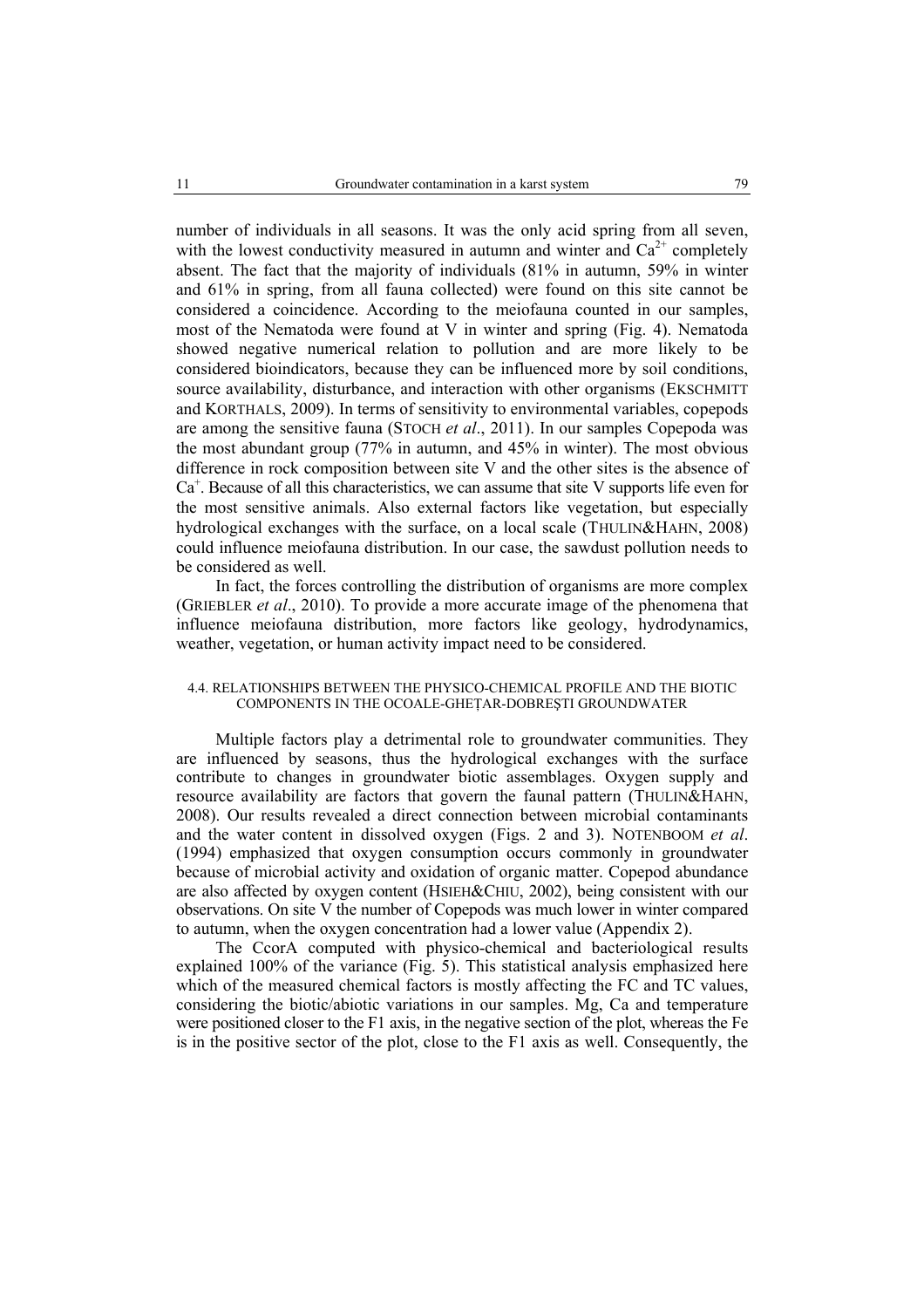number of individuals in all seasons. It was the only acid spring from all seven, with the lowest conductivity measured in autumn and winter and  $Ca<sup>2+</sup>$  completely absent. The fact that the majority of individuals (81% in autumn, 59% in winter and 61% in spring, from all fauna collected) were found on this site cannot be considered a coincidence. According to the meiofauna counted in our samples, most of the Nematoda were found at V in winter and spring (Fig. 4). Nematoda showed negative numerical relation to pollution and are more likely to be considered bioindicators, because they can be influenced more by soil conditions, source availability, disturbance, and interaction with other organisms (EKSCHMITT and KORTHALS, 2009). In terms of sensitivity to environmental variables, copepods are among the sensitive fauna (STOCH *et al*., 2011). In our samples Copepoda was the most abundant group (77% in autumn, and 45% in winter). The most obvious difference in rock composition between site V and the other sites is the absence of Ca<sup>+</sup>. Because of all this characteristics, we can assume that site V supports life even for the most sensitive animals. Also external factors like vegetation, but especially hydrological exchanges with the surface, on a local scale (THULIN&HAHN, 2008) could influence meiofauna distribution. In our case, the sawdust pollution needs to be considered as well.

In fact, the forces controlling the distribution of organisms are more complex (GRIEBLER *et al*., 2010). To provide a more accurate image of the phenomena that influence meiofauna distribution, more factors like geology, hydrodynamics, weather, vegetation, or human activity impact need to be considered.

#### 4.4. RELATIONSHIPS BETWEEN THE PHYSICO-CHEMICAL PROFILE AND THE BIOTIC COMPONENTS IN THE OCOALE-GHEŢAR-DOBREŞTI GROUNDWATER

Multiple factors play a detrimental role to groundwater communities. They are influenced by seasons, thus the hydrological exchanges with the surface contribute to changes in groundwater biotic assemblages. Oxygen supply and resource availability are factors that govern the faunal pattern (THULIN&HAHN, 2008). Our results revealed a direct connection between microbial contaminants and the water content in dissolved oxygen (Figs. 2 and 3). NOTENBOOM *et al*. (1994) emphasized that oxygen consumption occurs commonly in groundwater because of microbial activity and oxidation of organic matter. Copepod abundance are also affected by oxygen content (HSIEH&CHIU, 2002), being consistent with our observations. On site V the number of Copepods was much lower in winter compared to autumn, when the oxygen concentration had a lower value (Appendix 2).

The CcorA computed with physico-chemical and bacteriological results explained 100% of the variance (Fig. 5). This statistical analysis emphasized here which of the measured chemical factors is mostly affecting the FC and TC values, considering the biotic/abiotic variations in our samples. Mg, Ca and temperature were positioned closer to the F1 axis, in the negative section of the plot, whereas the Fe is in the positive sector of the plot, close to the F1 axis as well. Consequently, the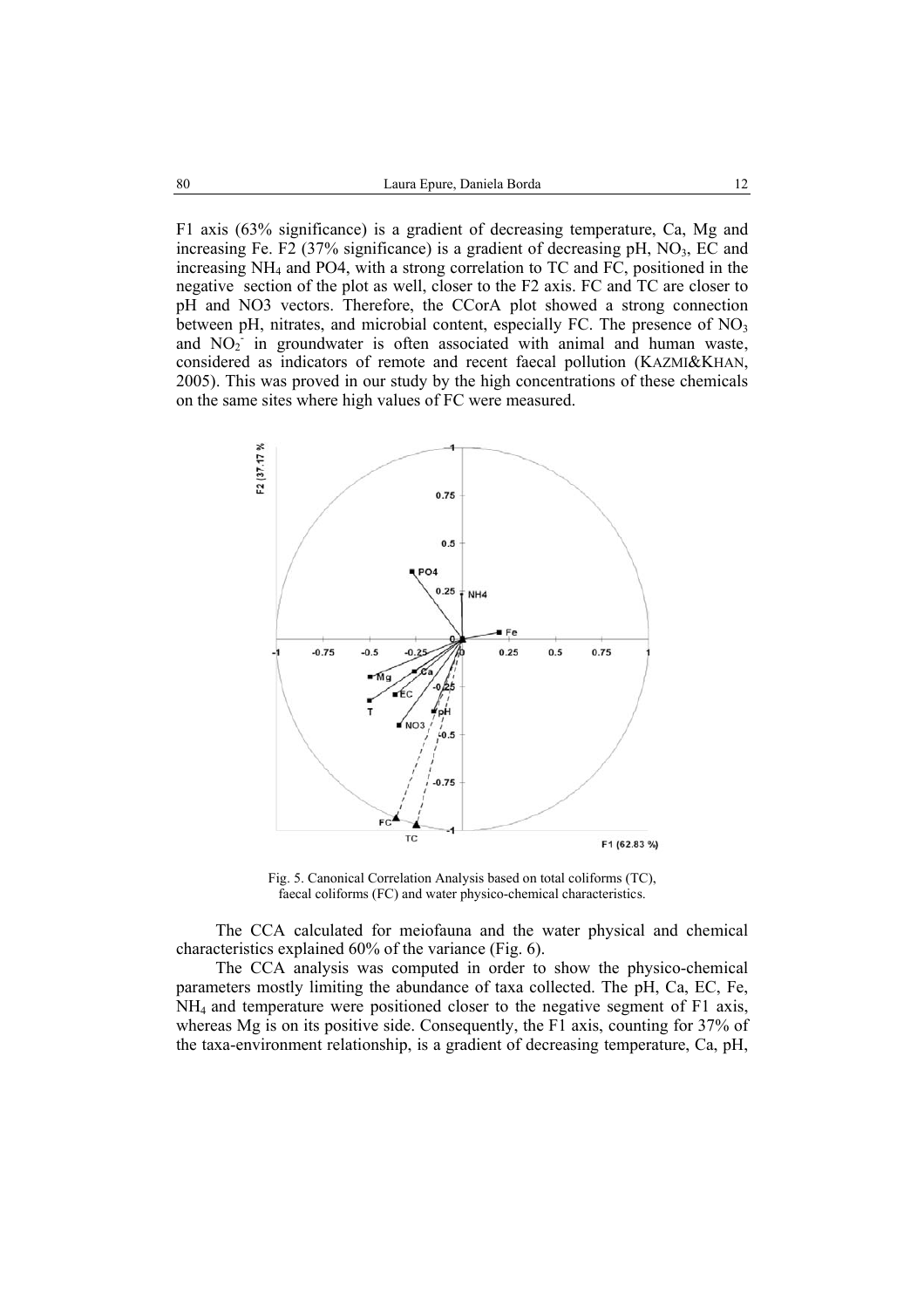F1 axis (63% significance) is a gradient of decreasing temperature, Ca, Mg and increasing Fe. F2 (37% significance) is a gradient of decreasing pH,  $NO<sub>3</sub>$ , EC and increasing NH4 and PO4, with a strong correlation to TC and FC, positioned in the negative section of the plot as well, closer to the F2 axis. FC and TC are closer to pH and NO3 vectors. Therefore, the CCorA plot showed a strong connection between pH, nitrates, and microbial content, especially FC. The presence of NO<sub>3</sub> and  $NO<sub>2</sub>$  in groundwater is often associated with animal and human waste, considered as indicators of remote and recent faecal pollution (KAZMI&KHAN, 2005). This was proved in our study by the high concentrations of these chemicals on the same sites where high values of FC were measured.



Fig. 5. Canonical Correlation Analysis based on total coliforms (TC), faecal coliforms (FC) and water physico-chemical characteristics.

The CCA calculated for meiofauna and the water physical and chemical characteristics explained 60% of the variance (Fig. 6).

The CCA analysis was computed in order to show the physico-chemical parameters mostly limiting the abundance of taxa collected. The pH, Ca, EC, Fe, NH4 and temperature were positioned closer to the negative segment of F1 axis, whereas Mg is on its positive side. Consequently, the F1 axis, counting for 37% of the taxa-environment relationship, is a gradient of decreasing temperature, Ca, pH,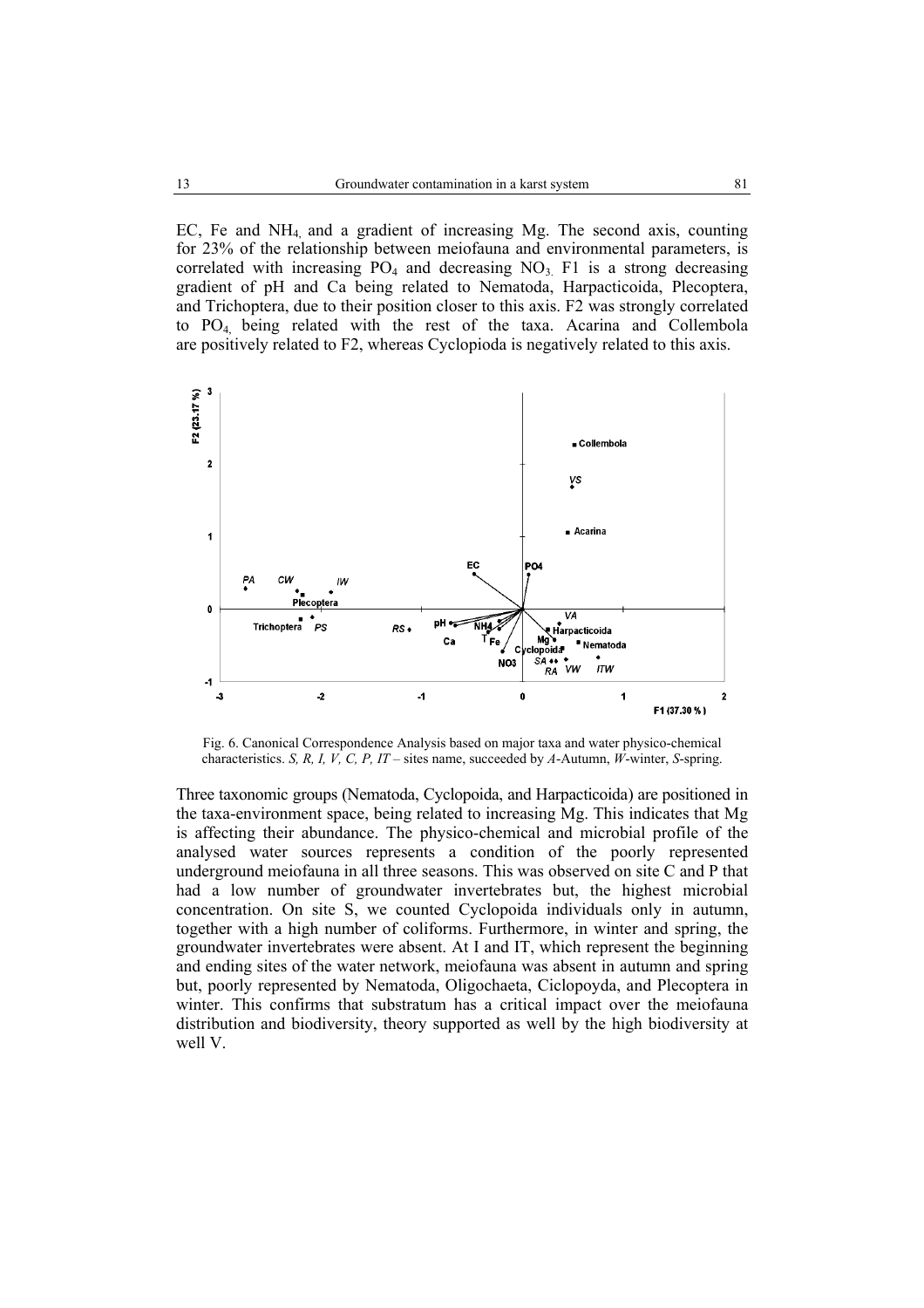EC, Fe and  $NH_4$  and a gradient of increasing Mg. The second axis, counting for 23% of the relationship between meiofauna and environmental parameters, is correlated with increasing  $PO_4$  and decreasing  $NO_3$ . F1 is a strong decreasing gradient of pH and Ca being related to Nematoda, Harpacticoida, Plecoptera, and Trichoptera, due to their position closer to this axis. F2 was strongly correlated to PO4, being related with the rest of the taxa. Acarina and Collembola are positively related to F2, whereas Cyclopioda is negatively related to this axis.



Fig. 6. Canonical Correspondence Analysis based on major taxa and water physico-chemical characteristics. *S, R, I, V, C, P, IT* – sites name, succeeded by *A*-Autumn, *W*-winter, *S*-spring.

Three taxonomic groups (Nematoda, Cyclopoida, and Harpacticoida) are positioned in the taxa-environment space, being related to increasing Mg. This indicates that Mg is affecting their abundance. The physico-chemical and microbial profile of the analysed water sources represents a condition of the poorly represented underground meiofauna in all three seasons. This was observed on site C and P that had a low number of groundwater invertebrates but, the highest microbial concentration. On site S, we counted Cyclopoida individuals only in autumn, together with a high number of coliforms. Furthermore, in winter and spring, the groundwater invertebrates were absent. At I and IT, which represent the beginning and ending sites of the water network, meiofauna was absent in autumn and spring but, poorly represented by Nematoda, Oligochaeta, Ciclopoyda, and Plecoptera in winter. This confirms that substratum has a critical impact over the meiofauna distribution and biodiversity, theory supported as well by the high biodiversity at well V.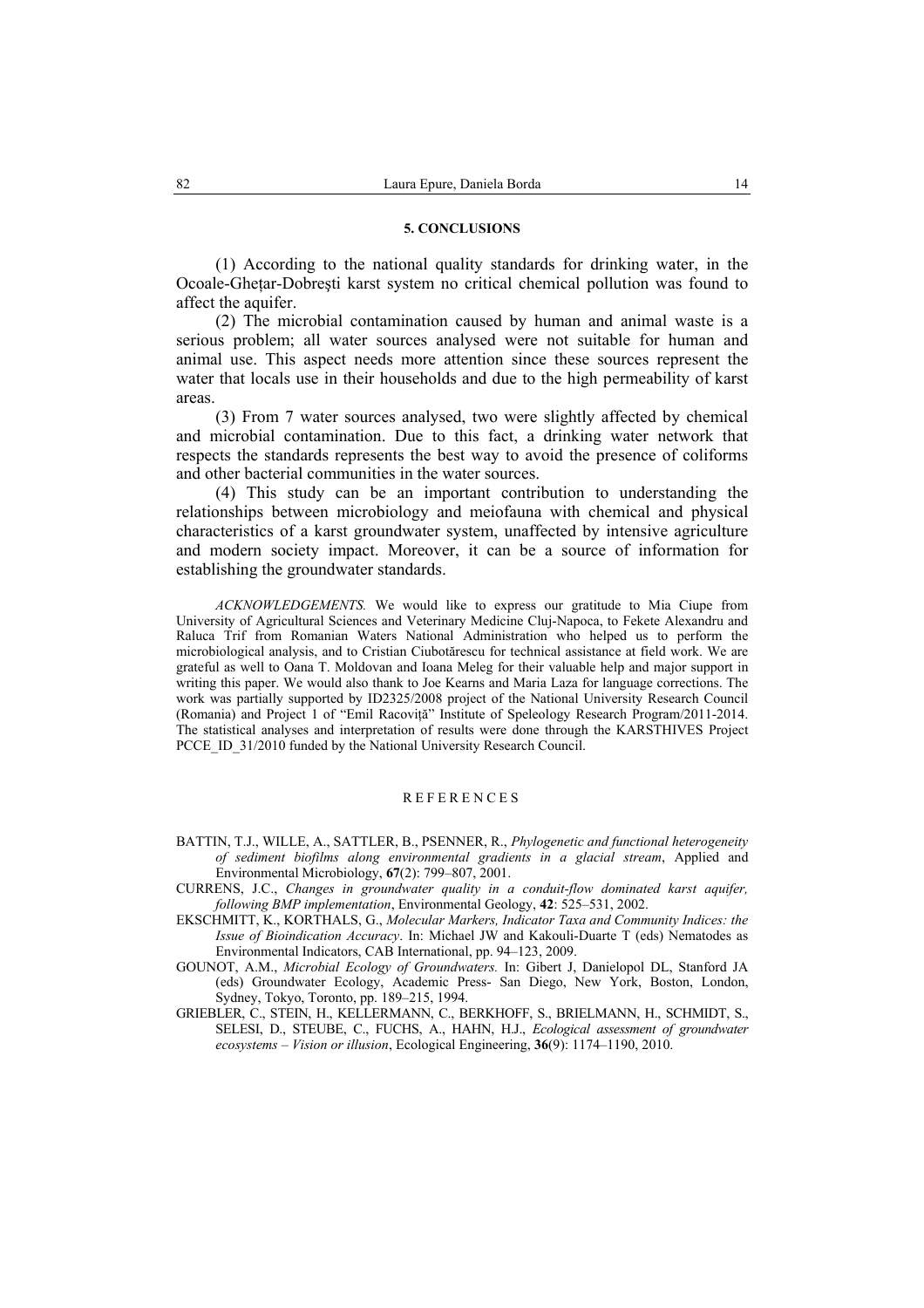### **5. CONCLUSIONS**

(1) According to the national quality standards for drinking water, in the Ocoale-Ghetar-Dobresti karst system no critical chemical pollution was found to affect the aquifer.

(2) The microbial contamination caused by human and animal waste is a serious problem; all water sources analysed were not suitable for human and animal use. This aspect needs more attention since these sources represent the water that locals use in their households and due to the high permeability of karst areas.

(3) From 7 water sources analysed, two were slightly affected by chemical and microbial contamination. Due to this fact, a drinking water network that respects the standards represents the best way to avoid the presence of coliforms and other bacterial communities in the water sources.

(4) This study can be an important contribution to understanding the relationships between microbiology and meiofauna with chemical and physical characteristics of a karst groundwater system, unaffected by intensive agriculture and modern society impact. Moreover, it can be a source of information for establishing the groundwater standards.

*ACKNOWLEDGEMENTS.* We would like to express our gratitude to Mia Ciupe from University of Agricultural Sciences and Veterinary Medicine Cluj-Napoca, to Fekete Alexandru and Raluca Trif from Romanian Waters National Administration who helped us to perform the microbiological analysis, and to Cristian Ciubotărescu for technical assistance at field work. We are grateful as well to Oana T. Moldovan and Ioana Meleg for their valuable help and major support in writing this paper. We would also thank to Joe Kearns and Maria Laza for language corrections. The work was partially supported by ID2325/2008 project of the National University Research Council (Romania) and Project 1 of "Emil Racoviţă" Institute of Speleology Research Program/2011-2014. The statistical analyses and interpretation of results were done through the KARSTHIVES Project PCCE ID 31/2010 funded by the National University Research Council.

#### REFERENCES

- BATTIN, T.J., WILLE, A., SATTLER, B., PSENNER, R., *Phylogenetic and functional heterogeneity of sediment biofilms along environmental gradients in a glacial stream*, Applied and Environmental Microbiology, **67**(2): 799–807, 2001.
- CURRENS, J.C., *Changes in groundwater quality in a conduit-flow dominated karst aquifer, following BMP implementation*, Environmental Geology, **42**: 525–531, 2002.
- EKSCHMITT, K., KORTHALS, G., *Molecular Markers, Indicator Taxa and Community Indices: the Issue of Bioindication Accuracy*. In: Michael JW and Kakouli-Duarte T (eds) Nematodes as Environmental Indicators, CAB International, pp. 94–123, 2009.
- GOUNOT, A.M., *Microbial Ecology of Groundwaters.* In: Gibert J, Danielopol DL, Stanford JA (eds) Groundwater Ecology, Academic Press- San Diego, New York, Boston, London, Sydney, Tokyo, Toronto, pp. 189–215, 1994.
- GRIEBLER, C., STEIN, H., KELLERMANN, C., BERKHOFF, S., BRIELMANN, H., SCHMIDT, S., SELESI, D., STEUBE, C., FUCHS, A., HAHN, H.J., *Ecological assessment of groundwater ecosystems – Vision or illusion*, Ecological Engineering, **36**(9): 1174–1190, 2010.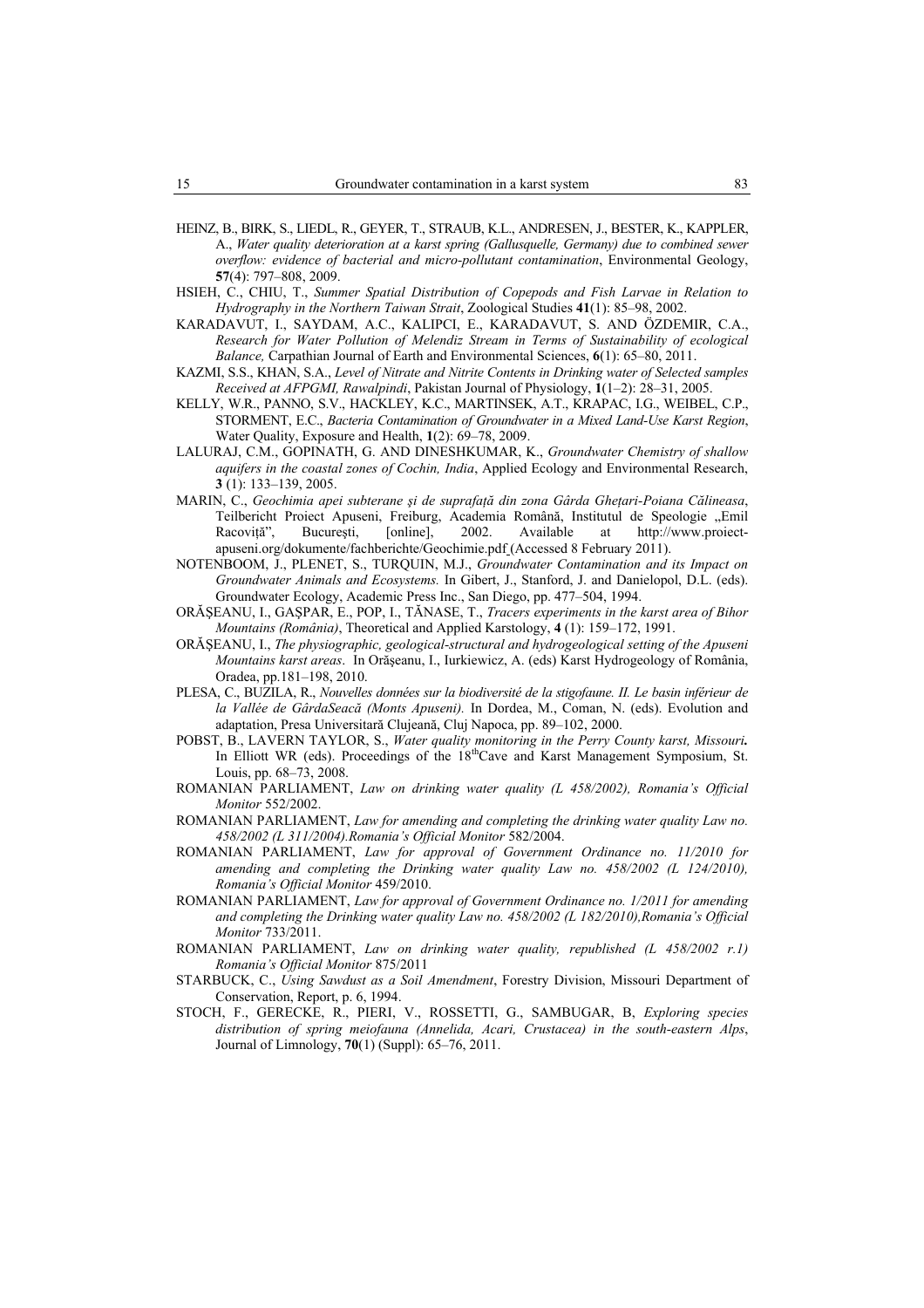- HEINZ, B., BIRK, S., LIEDL, R., GEYER, T., STRAUB, K.L., ANDRESEN, J., BESTER, K., KAPPLER, A., *Water quality deterioration at a karst spring (Gallusquelle, Germany) due to combined sewer overflow: evidence of bacterial and micro-pollutant contamination*, Environmental Geology, **57**(4): 797–808, 2009.
- HSIEH, C., CHIU, T., *Summer Spatial Distribution of Copepods and Fish Larvae in Relation to Hydrography in the Northern Taiwan Strait*, Zoological Studies **41**(1): 85–98, 2002.
- KARADAVUT, I., SAYDAM, A.C., KALIPCI, E., KARADAVUT, S. AND ÖZDEMIR, C.A., *Research for Water Pollution of Melendiz Stream in Terms of Sustainability of ecological Balance,* Carpathian Journal of Earth and Environmental Sciences, **6**(1): 65–80, 2011.
- KAZMI, S.S., KHAN, S.A., *Level of Nitrate and Nitrite Contents in Drinking water of Selected samples Received at AFPGMI, Rawalpindi*, Pakistan Journal of Physiology, **1**(1–2): 28–31, 2005.
- KELLY, W.R., PANNO, S.V., HACKLEY, K.C., MARTINSEK, A.T., KRAPAC, I.G., WEIBEL, C.P., STORMENT, E.C., *Bacteria Contamination of Groundwater in a Mixed Land-Use Karst Region*, Water Quality, Exposure and Health, **1**(2): 69–78, 2009.
- LALURAJ, C.M., GOPINATH, G. AND DINESHKUMAR, K., *Groundwater Chemistry of shallow aquifers in the coastal zones of Cochin, India*, Applied Ecology and Environmental Research, **3** (1): 133–139, 2005.
- MARIN, C., *Geochimia apei subterane şi de suprafaţă din zona Gârda Gheţari-Poiana Călineasa*, Teilbericht Proiect Apuseni, Freiburg, Academia Română, Institutul de Speologie "Emil Racoviţă", Bucureşti, [online], 2002. Available at http://www.proiectapuseni.org/dokumente/fachberichte/Geochimie.pdf (Accessed 8 February 2011).
- NOTENBOOM, J., PLENET, S., TURQUIN, M.J., *Groundwater Contamination and its Impact on Groundwater Animals and Ecosystems.* In Gibert, J., Stanford, J. and Danielopol, D.L. (eds). Groundwater Ecology, Academic Press Inc., San Diego, pp. 477–504, 1994.
- ORĂŞEANU, I., GAŞPAR, E., POP, I., TĂNASE, T., *Tracers experiments in the karst area of Bihor Mountains (România)*, Theoretical and Applied Karstology, **4** (1): 159–172, 1991.
- ORĂŞEANU, I., *The physiographic, geological-structural and hydrogeological setting of the Apuseni Mountains karst areas*. In Orăşeanu, I., Iurkiewicz, A. (eds) Karst Hydrogeology of România, Oradea, pp.181–198, 2010.
- PLESA, C., BUZILA, R., *Nouvelles données sur la biodiversité de la stigofaune. II. Le basin inférieur de la Vallée de GârdaSeacă (Monts Apuseni).* In Dordea, M., Coman, N. (eds). Evolution and adaptation, Presa Universitară Clujeană, Cluj Napoca, pp. 89–102, 2000.
- POBST, B., LAVERN TAYLOR, S., *Water quality monitoring in the Perry County karst, Missouri.*  In Elliott WR (eds). Proceedings of the 18<sup>th</sup>Cave and Karst Management Symposium, St. Louis, pp. 68–73, 2008.
- ROMANIAN PARLIAMENT, *Law on drinking water quality (L 458/2002), Romania's Official Monitor* 552/2002.
- ROMANIAN PARLIAMENT, *Law for amending and completing the drinking water quality Law no. 458/2002 (L 311/2004).Romania's Official Monitor* 582/2004.
- ROMANIAN PARLIAMENT, *Law for approval of Government Ordinance no. 11/2010 for*  amending and completing the Drinking water quality Law no. 458/2002 (L 124/2010), *Romania's Official Monitor* 459/2010.
- ROMANIAN PARLIAMENT, *Law for approval of Government Ordinance no. 1/2011 for amending and completing the Drinking water quality Law no. 458/2002 (L 182/2010),Romania's Official Monitor* 733/2011.
- ROMANIAN PARLIAMENT, *Law on drinking water quality, republished (L 458/2002 r.1) Romania's Official Monitor* 875/2011
- STARBUCK, C., *Using Sawdust as a Soil Amendment*, Forestry Division, Missouri Department of Conservation, Report, p. 6, 1994.
- STOCH, F., GERECKE, R., PIERI, V., ROSSETTI, G., SAMBUGAR, B, *Exploring species distribution of spring meiofauna (Annelida, Acari, Crustacea) in the south-eastern Alps*, Journal of Limnology, **70**(1) (Suppl): 65–76, 2011.